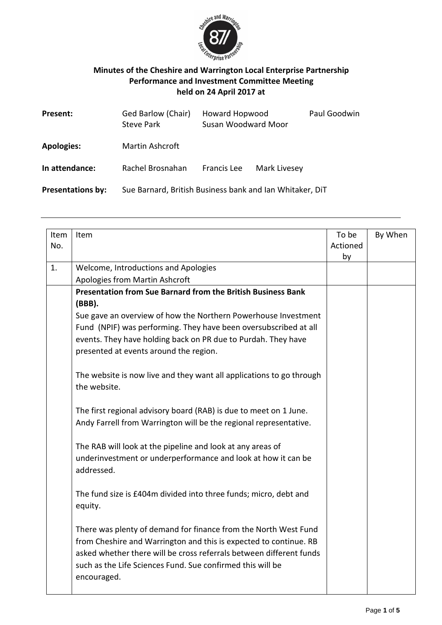

## **Minutes of the Cheshire and Warrington Local Enterprise Partnership Performance and Investment Committee Meeting held on 24 April 2017 at**

| Present:                 | Ged Barlow (Chair)<br><b>Steve Park</b> | <b>Howard Hopwood</b><br>Susan Woodward Moor             |              | Paul Goodwin |
|--------------------------|-----------------------------------------|----------------------------------------------------------|--------------|--------------|
| <b>Apologies:</b>        | Martin Ashcroft                         |                                                          |              |              |
| In attendance:           | Rachel Brosnahan                        | Francis Lee                                              | Mark Livesey |              |
| <b>Presentations by:</b> |                                         | Sue Barnard, British Business bank and Ian Whitaker, DiT |              |              |

| Item<br>No. | Item                                                                                                                                     | To be<br>Actioned<br>by | By When |
|-------------|------------------------------------------------------------------------------------------------------------------------------------------|-------------------------|---------|
| 1.          | Welcome, Introductions and Apologies                                                                                                     |                         |         |
|             | Apologies from Martin Ashcroft                                                                                                           |                         |         |
|             | Presentation from Sue Barnard from the British Business Bank                                                                             |                         |         |
|             | (BBB).                                                                                                                                   |                         |         |
|             | Sue gave an overview of how the Northern Powerhouse Investment                                                                           |                         |         |
|             | Fund (NPIF) was performing. They have been oversubscribed at all                                                                         |                         |         |
|             | events. They have holding back on PR due to Purdah. They have                                                                            |                         |         |
|             | presented at events around the region.                                                                                                   |                         |         |
|             |                                                                                                                                          |                         |         |
|             | The website is now live and they want all applications to go through                                                                     |                         |         |
|             | the website.                                                                                                                             |                         |         |
|             |                                                                                                                                          |                         |         |
|             | The first regional advisory board (RAB) is due to meet on 1 June.                                                                        |                         |         |
|             | Andy Farrell from Warrington will be the regional representative.                                                                        |                         |         |
|             |                                                                                                                                          |                         |         |
|             | The RAB will look at the pipeline and look at any areas of                                                                               |                         |         |
|             | underinvestment or underperformance and look at how it can be                                                                            |                         |         |
|             | addressed.                                                                                                                               |                         |         |
|             |                                                                                                                                          |                         |         |
|             | The fund size is £404m divided into three funds; micro, debt and                                                                         |                         |         |
|             | equity.                                                                                                                                  |                         |         |
|             |                                                                                                                                          |                         |         |
|             | There was plenty of demand for finance from the North West Fund                                                                          |                         |         |
|             | from Cheshire and Warrington and this is expected to continue. RB<br>asked whether there will be cross referrals between different funds |                         |         |
|             |                                                                                                                                          |                         |         |
|             | such as the Life Sciences Fund. Sue confirmed this will be                                                                               |                         |         |
|             | encouraged.                                                                                                                              |                         |         |
|             |                                                                                                                                          |                         |         |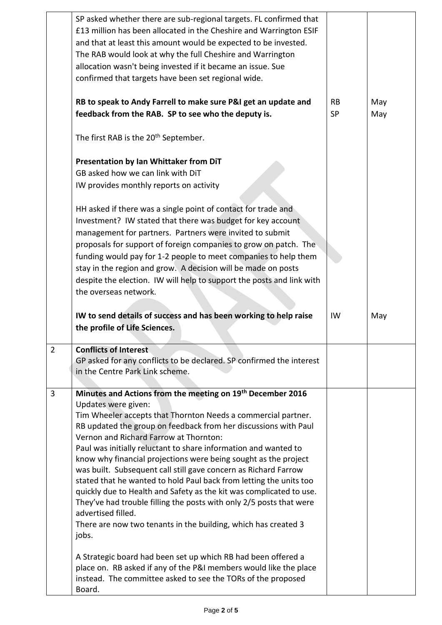|                | SP asked whether there are sub-regional targets. FL confirmed that<br>£13 million has been allocated in the Cheshire and Warrington ESIF<br>and that at least this amount would be expected to be invested.<br>The RAB would look at why the full Cheshire and Warrington<br>allocation wasn't being invested if it became an issue. Sue<br>confirmed that targets have been set regional wide.                                                                                                                                                                                                                                                                                                                                                                                               |                        |            |
|----------------|-----------------------------------------------------------------------------------------------------------------------------------------------------------------------------------------------------------------------------------------------------------------------------------------------------------------------------------------------------------------------------------------------------------------------------------------------------------------------------------------------------------------------------------------------------------------------------------------------------------------------------------------------------------------------------------------------------------------------------------------------------------------------------------------------|------------------------|------------|
|                | RB to speak to Andy Farrell to make sure P&I get an update and<br>feedback from the RAB. SP to see who the deputy is.                                                                                                                                                                                                                                                                                                                                                                                                                                                                                                                                                                                                                                                                         | <b>RB</b><br><b>SP</b> | May<br>May |
|                | The first RAB is the 20 <sup>th</sup> September.                                                                                                                                                                                                                                                                                                                                                                                                                                                                                                                                                                                                                                                                                                                                              |                        |            |
|                | Presentation by Ian Whittaker from DiT<br>GB asked how we can link with DiT<br>IW provides monthly reports on activity                                                                                                                                                                                                                                                                                                                                                                                                                                                                                                                                                                                                                                                                        |                        |            |
|                | HH asked if there was a single point of contact for trade and<br>Investment? IW stated that there was budget for key account<br>management for partners. Partners were invited to submit<br>proposals for support of foreign companies to grow on patch. The<br>funding would pay for 1-2 people to meet companies to help them<br>stay in the region and grow. A decision will be made on posts<br>despite the election. IW will help to support the posts and link with<br>the overseas network.                                                                                                                                                                                                                                                                                            |                        |            |
|                | IW to send details of success and has been working to help raise<br>the profile of Life Sciences.                                                                                                                                                                                                                                                                                                                                                                                                                                                                                                                                                                                                                                                                                             | IW                     | May        |
| $\overline{2}$ | <b>Conflicts of Interest</b><br>GP asked for any conflicts to be declared. SP confirmed the interest<br>in the Centre Park Link scheme.                                                                                                                                                                                                                                                                                                                                                                                                                                                                                                                                                                                                                                                       |                        |            |
| 3              | Minutes and Actions from the meeting on 19th December 2016<br>Updates were given:<br>Tim Wheeler accepts that Thornton Needs a commercial partner.<br>RB updated the group on feedback from her discussions with Paul<br>Vernon and Richard Farrow at Thornton:<br>Paul was initially reluctant to share information and wanted to<br>know why financial projections were being sought as the project<br>was built. Subsequent call still gave concern as Richard Farrow<br>stated that he wanted to hold Paul back from letting the units too<br>quickly due to Health and Safety as the kit was complicated to use.<br>They've had trouble filling the posts with only 2/5 posts that were<br>advertised filled.<br>There are now two tenants in the building, which has created 3<br>jobs. |                        |            |
|                | A Strategic board had been set up which RB had been offered a<br>place on. RB asked if any of the P&I members would like the place<br>instead. The committee asked to see the TORs of the proposed<br>Board.                                                                                                                                                                                                                                                                                                                                                                                                                                                                                                                                                                                  |                        |            |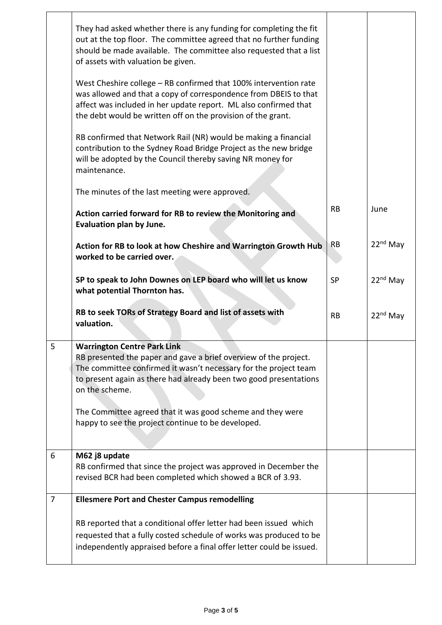|                | They had asked whether there is any funding for completing the fit<br>out at the top floor. The committee agreed that no further funding<br>should be made available. The committee also requested that a list<br>of assets with valuation be given.                     |           |                      |
|----------------|--------------------------------------------------------------------------------------------------------------------------------------------------------------------------------------------------------------------------------------------------------------------------|-----------|----------------------|
|                | West Cheshire college - RB confirmed that 100% intervention rate<br>was allowed and that a copy of correspondence from DBEIS to that<br>affect was included in her update report. ML also confirmed that<br>the debt would be written off on the provision of the grant. |           |                      |
|                | RB confirmed that Network Rail (NR) would be making a financial<br>contribution to the Sydney Road Bridge Project as the new bridge<br>will be adopted by the Council thereby saving NR money for<br>maintenance.                                                        |           |                      |
|                | The minutes of the last meeting were approved.                                                                                                                                                                                                                           |           |                      |
|                | Action carried forward for RB to review the Monitoring and<br>Evaluation plan by June.                                                                                                                                                                                   | <b>RB</b> | June                 |
|                | Action for RB to look at how Cheshire and Warrington Growth Hub<br>worked to be carried over.                                                                                                                                                                            | RB        | $22nd$ May           |
|                | SP to speak to John Downes on LEP board who will let us know<br>what potential Thornton has.                                                                                                                                                                             | <b>SP</b> | 22 <sup>nd</sup> May |
|                | RB to seek TORs of Strategy Board and list of assets with<br>valuation.                                                                                                                                                                                                  | <b>RB</b> | $22nd$ May           |
| 5              | <b>Warrington Centre Park Link</b><br>RB presented the paper and gave a brief overview of the project.<br>The committee confirmed it wasn't necessary for the project team<br>to present again as there had already been two good presentations<br>on the scheme.        |           |                      |
|                | The Committee agreed that it was good scheme and they were<br>happy to see the project continue to be developed.                                                                                                                                                         |           |                      |
| 6              | M62 j8 update<br>RB confirmed that since the project was approved in December the<br>revised BCR had been completed which showed a BCR of 3.93.                                                                                                                          |           |                      |
| $\overline{7}$ | <b>Ellesmere Port and Chester Campus remodelling</b>                                                                                                                                                                                                                     |           |                      |
|                | RB reported that a conditional offer letter had been issued which<br>requested that a fully costed schedule of works was produced to be<br>independently appraised before a final offer letter could be issued.                                                          |           |                      |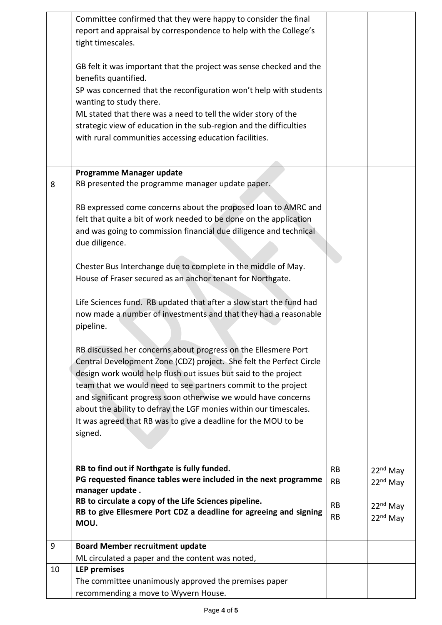|    | Committee confirmed that they were happy to consider the final<br>report and appraisal by correspondence to help with the College's<br>tight timescales.                                                                                                                                                                                                                                                         |                        |                                              |
|----|------------------------------------------------------------------------------------------------------------------------------------------------------------------------------------------------------------------------------------------------------------------------------------------------------------------------------------------------------------------------------------------------------------------|------------------------|----------------------------------------------|
|    | GB felt it was important that the project was sense checked and the<br>benefits quantified.                                                                                                                                                                                                                                                                                                                      |                        |                                              |
|    | SP was concerned that the reconfiguration won't help with students<br>wanting to study there.                                                                                                                                                                                                                                                                                                                    |                        |                                              |
|    | ML stated that there was a need to tell the wider story of the<br>strategic view of education in the sub-region and the difficulties<br>with rural communities accessing education facilities.                                                                                                                                                                                                                   |                        |                                              |
|    |                                                                                                                                                                                                                                                                                                                                                                                                                  |                        |                                              |
| 8  | Programme Manager update<br>RB presented the programme manager update paper.                                                                                                                                                                                                                                                                                                                                     |                        |                                              |
|    | RB expressed come concerns about the proposed loan to AMRC and<br>felt that quite a bit of work needed to be done on the application<br>and was going to commission financial due diligence and technical<br>due diligence.                                                                                                                                                                                      |                        |                                              |
|    | Chester Bus Interchange due to complete in the middle of May.<br>House of Fraser secured as an anchor tenant for Northgate.                                                                                                                                                                                                                                                                                      |                        |                                              |
|    | Life Sciences fund. RB updated that after a slow start the fund had<br>now made a number of investments and that they had a reasonable<br>pipeline.                                                                                                                                                                                                                                                              |                        |                                              |
|    | RB discussed her concerns about progress on the Ellesmere Port<br>Central Development Zone (CDZ) project. She felt the Perfect Circle<br>design work would help flush out issues but said to the project<br>team that we would need to see partners commit to the project<br>and significant progress soon otherwise we would have concerns<br>about the ability to defray the LGF monies within our timescales. |                        |                                              |
|    | It was agreed that RB was to give a deadline for the MOU to be<br>signed.                                                                                                                                                                                                                                                                                                                                        |                        |                                              |
|    | RB to find out if Northgate is fully funded.<br>PG requested finance tables were included in the next programme<br>manager update.                                                                                                                                                                                                                                                                               | <b>RB</b><br><b>RB</b> | 22 <sup>nd</sup> May<br>22 <sup>nd</sup> May |
|    | RB to circulate a copy of the Life Sciences pipeline.<br>RB to give Ellesmere Port CDZ a deadline for agreeing and signing<br>MOU.                                                                                                                                                                                                                                                                               | <b>RB</b><br><b>RB</b> | 22 <sup>nd</sup> May<br>22 <sup>nd</sup> May |
| 9  | <b>Board Member recruitment update</b>                                                                                                                                                                                                                                                                                                                                                                           |                        |                                              |
|    | ML circulated a paper and the content was noted,                                                                                                                                                                                                                                                                                                                                                                 |                        |                                              |
| 10 | <b>LEP</b> premises<br>The committee unanimously approved the premises paper<br>recommending a move to Wyvern House.                                                                                                                                                                                                                                                                                             |                        |                                              |